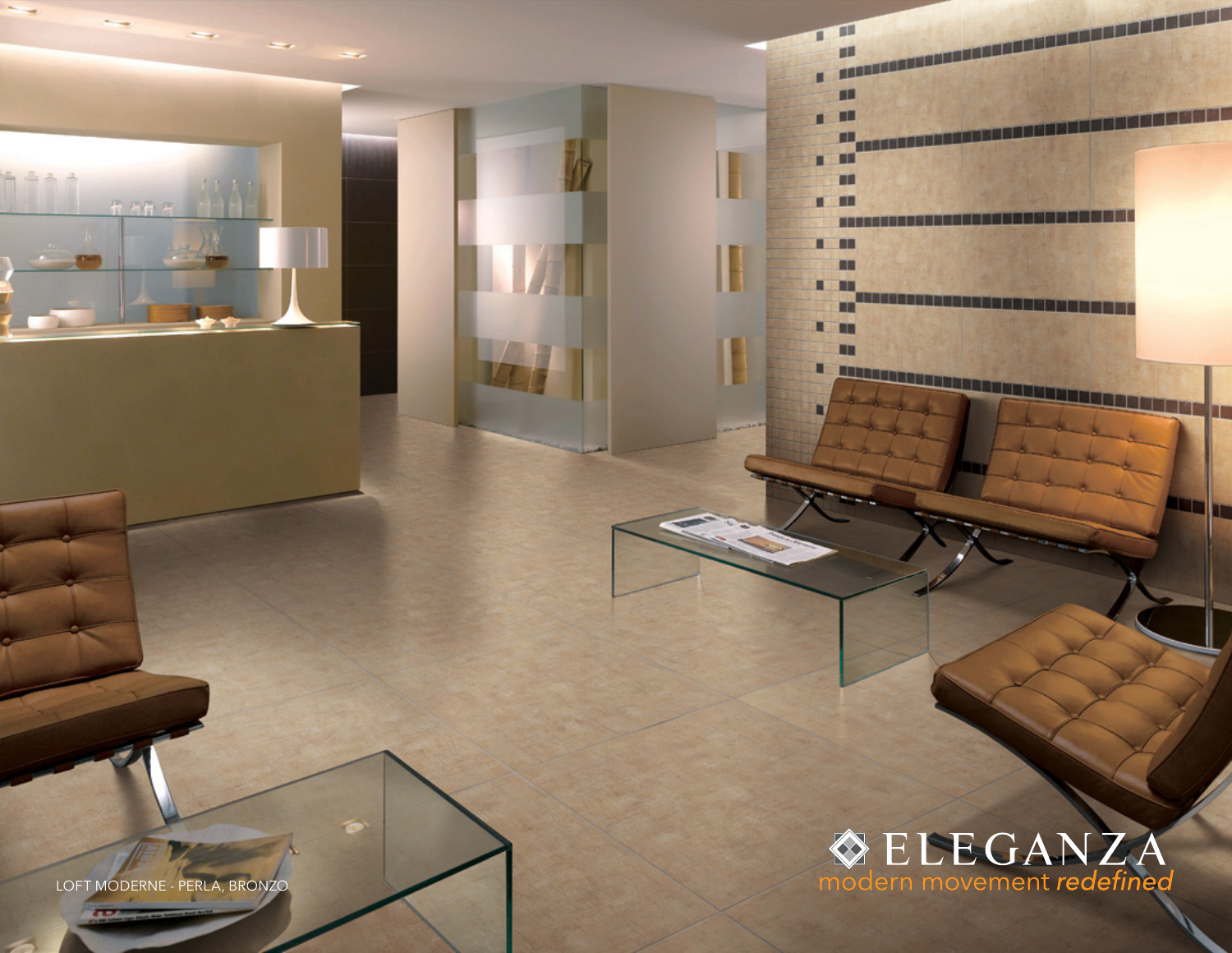

LOFT MODERNE - PERLA, BRONZO

 $\overline{\phantom{a}}$